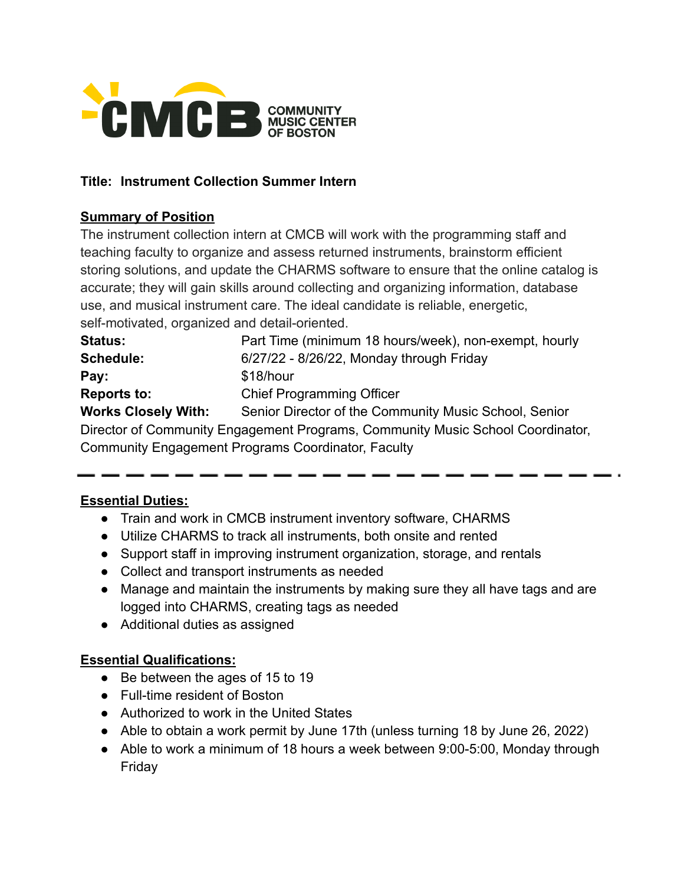

#### **Title: Instrument Collection Summer Intern**

#### **Summary of Position**

The instrument collection intern at CMCB will work with the programming staff and teaching faculty to organize and assess returned instruments, brainstorm efficient storing solutions, and update the CHARMS software to ensure that the online catalog is accurate; they will gain skills around collecting and organizing information, database use, and musical instrument care. The ideal candidate is reliable, energetic, self-motivated, organized and detail-oriented.

| <b>Status:</b>             | Part Time (minimum 18 hours/week), non-exempt, hourly                          |
|----------------------------|--------------------------------------------------------------------------------|
| <b>Schedule:</b>           | 6/27/22 - 8/26/22, Monday through Friday                                       |
| Pay:                       | \$18/hour                                                                      |
| <b>Reports to:</b>         | <b>Chief Programming Officer</b>                                               |
| <b>Works Closely With:</b> | Senior Director of the Community Music School, Senior                          |
|                            | Director of Community Engagement Programs, Community Music School Coordinator, |
|                            | Community Engagement Programs Coordinator, Faculty                             |

#### **Essential Duties:**

- Train and work in CMCB instrument inventory software, CHARMS
- Utilize CHARMS to track all instruments, both onsite and rented
- Support staff in improving instrument organization, storage, and rentals
- Collect and transport instruments as needed
- Manage and maintain the instruments by making sure they all have tags and are logged into CHARMS, creating tags as needed
- Additional duties as assigned

## **Essential Qualifications:**

- Be between the ages of 15 to 19
- Full-time resident of Boston
- Authorized to work in the United States
- Able to obtain a work permit by June 17th (unless turning 18 by June 26, 2022)
- Able to work a minimum of 18 hours a week between 9:00-5:00, Monday through Friday